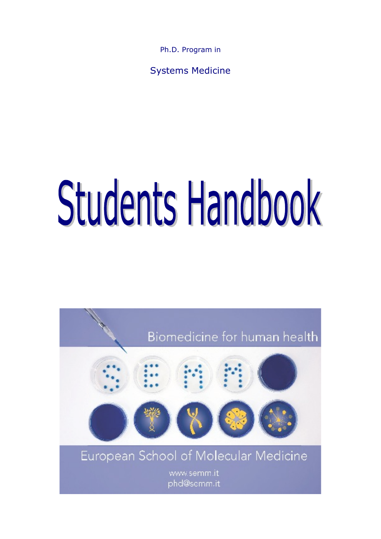Ph.D. Program in

Systems Medicine

# Students Handbook

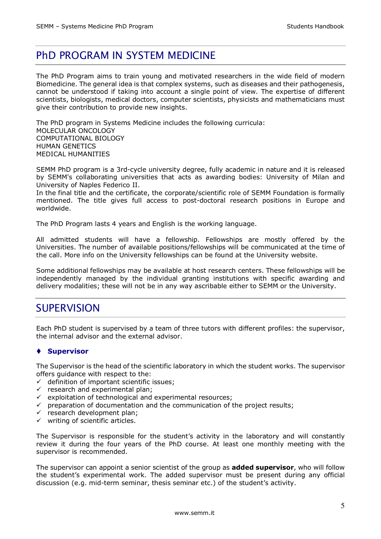# PhD PROGRAM IN SYSTEM MEDICINE

The PhD Program aims to train young and motivated researchers in the wide field of modern Biomedicine. The general idea is that complex systems, such as diseases and their pathogenesis, cannot be understood if taking into account a single point of view. The expertise of different scientists, biologists, medical doctors, computer scientists, physicists and mathematicians must give their contribution to provide new insights.

The PhD program in Systems Medicine includes the following curricula: MOLECULAR ONCOLOGY COMPUTATIONAL BIOLOGY HUMAN GENETICS MEDICAL HUMANITIES

SEMM PhD program is a 3rd-cycle university degree, fully academic in nature and it is released by SEMM's collaborating universities that acts as awarding bodies: University of Milan and University of Naples Federico II.

In the final title and the certificate, the corporate/scientific role of SEMM Foundation is formally mentioned. The title gives full access to post-doctoral research positions in Europe and worldwide.

The PhD Program lasts 4 years and English is the working language.

All admitted students will have a fellowship. Fellowships are mostly offered by the Universities. The number of available positions/fellowships will be communicated at the time of the call. More info on the University fellowships can be found at the University website.

Some additional fellowships may be available at host research centers. These fellowships will be independently managed by the individual granting institutions with specific awarding and delivery modalities; these will not be in any way ascribable either to SEMM or the University.

# **SUPERVISION**

Each PhD student is supervised by a team of three tutors with different profiles: the supervisor, the internal advisor and the external advisor.

# ◆ Supervisor

The Supervisor is the head of the scientific laboratory in which the student works. The supervisor offers guidance with respect to the:

- $\checkmark$  definition of important scientific issues;
- $\checkmark$  research and experimental plan;
- $\checkmark$  exploitation of technological and experimental resources;
- $\checkmark$  preparation of documentation and the communication of the project results;
- $\checkmark$  research development plan;
- $\checkmark$  writing of scientific articles.

The Supervisor is responsible for the student's activity in the laboratory and will constantly review it during the four years of the PhD course. At least one monthly meeting with the supervisor is recommended.

The supervisor can appoint a senior scientist of the group as **added supervisor**, who will follow the student's experimental work. The added supervisor must be present during any official discussion (e.g. mid-term seminar, thesis seminar etc.) of the student's activity.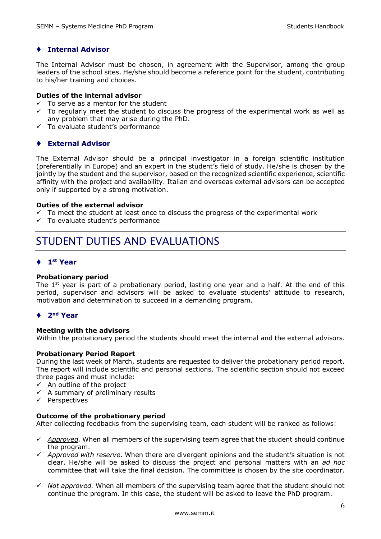# $\bullet$  **Internal Advisor**

The Internal Advisor must be chosen, in agreement with the Supervisor, among the group leaders of the school sites. He/she should become a reference point for the student, contributing to his/her training and choices.

#### **Duties of the internal advisor**

- $\checkmark$  To serve as a mentor for the student
- $\checkmark$  To regularly meet the student to discuss the progress of the experimental work as well as any problem that may arise during the PhD.
- $\checkmark$  To evaluate student's performance

# t **External Advisor**

The External Advisor should be a principal investigator in a foreign scientific institution (preferentially in Europe) and an expert in the student's field of study. He/she is chosen by the jointly by the student and the supervisor, based on the recognized scientific experience, scientific affinity with the project and availability. Italian and overseas external advisors can be accepted only if supported by a strong motivation.

#### **Duties of the external advisor**

- $\checkmark$  To meet the student at least once to discuss the progress of the experimental work
- $\checkmark$  To evaluate student's performance

# STUDENT DUTIES AND EVALUATIONS

# ◆ 1<sup>st</sup> Year

## **Probationary period**

The  $1<sup>st</sup>$  year is part of a probationary period, lasting one year and a half. At the end of this period, supervisor and advisors will be asked to evaluate students' attitude to research, motivation and determination to succeed in a demanding program.

## t **2nd Year**

## **Meeting with the advisors**

Within the probationary period the students should meet the internal and the external advisors.

## **Probationary Period Report**

During the last week of March, students are requested to deliver the probationary period report. The report will include scientific and personal sections. The scientific section should not exceed three pages and must include:

- $\checkmark$  An outline of the project
- $\checkmark$  A summary of preliminary results
- $\checkmark$  Perspectives

## **Outcome of the probationary period**

After collecting feedbacks from the supervising team, each student will be ranked as follows:

- $\checkmark$  *Approved.* When all members of the supervising team agree that the student should continue the program.
- $\checkmark$  *Approved with reserve*. When there are divergent opinions and the student's situation is not clear. He/she will be asked to discuss the project and personal matters with an *ad hoc* committee that will take the final decision. The committee is chosen by the site coordinator.
- $\checkmark$  *Not approved.* When all members of the supervising team agree that the student should not continue the program. In this case, the student will be asked to leave the PhD program.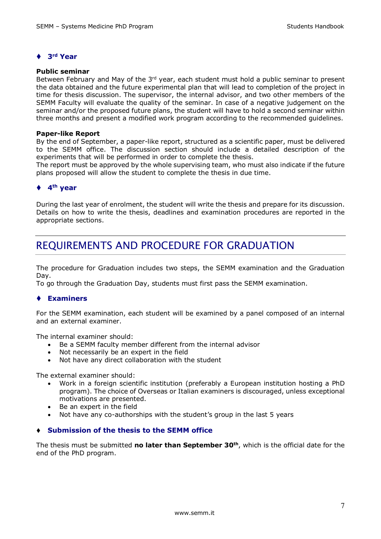# t **3rd Year**

#### **Public seminar**

Between February and May of the 3rd year, each student must hold a public seminar to present the data obtained and the future experimental plan that will lead to completion of the project in time for thesis discussion. The supervisor, the internal advisor, and two other members of the SEMM Faculty will evaluate the quality of the seminar. In case of a negative judgement on the seminar and/or the proposed future plans, the student will have to hold a second seminar within three months and present a modified work program according to the recommended guidelines.

#### **Paper-like Report**

By the end of September, a paper-like report, structured as a scientific paper, must be delivered to the SEMM office. The discussion section should include a detailed description of the experiments that will be performed in order to complete the thesis.

The report must be approved by the whole supervising team, who must also indicate if the future plans proposed will allow the student to complete the thesis in due time.

# $\triangle$  4<sup>th</sup> **year**

During the last year of enrolment, the student will write the thesis and prepare for its discussion. Details on how to write the thesis, deadlines and examination procedures are reported in the appropriate sections.

# REQUIREMENTS AND PROCEDURE FOR GRADUATION

The procedure for Graduation includes two steps, the SEMM examination and the Graduation Day.

To go through the Graduation Day, students must first pass the SEMM examination.

# **↑ Examiners**

For the SEMM examination, each student will be examined by a panel composed of an internal and an external examiner.

The internal examiner should:

- Be a SEMM faculty member different from the internal advisor
- Not necessarily be an expert in the field
- Not have any direct collaboration with the student

The external examiner should:

- Work in a foreign scientific institution (preferably a European institution hosting a PhD program). The choice of Overseas or Italian examiners is discouraged, unless exceptional motivations are presented.
- Be an expert in the field
- Not have any co-authorships with the student's group in the last 5 years

# ◆ Submission of the thesis to the SEMM office

The thesis must be submitted **no later than September 30th**, which is the official date for the end of the PhD program.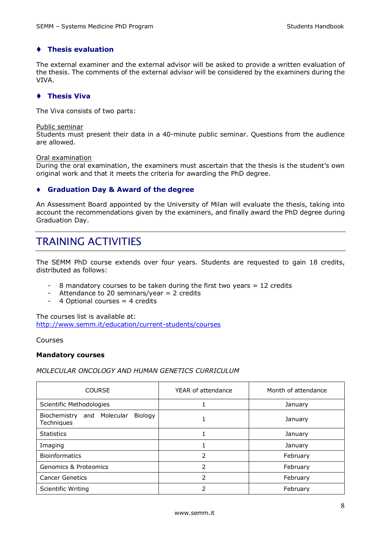# **↑ Thesis evaluation**

The external examiner and the external advisor will be asked to provide a written evaluation of the thesis. The comments of the external advisor will be considered by the examiners during the VIVA.

# $\triangle$  Thesis Viva

The Viva consists of two parts:

#### Public seminar

Students must present their data in a 40-minute public seminar. Questions from the audience are allowed.

#### Oral examination

During the oral examination, the examiners must ascertain that the thesis is the student's own original work and that it meets the criteria for awarding the PhD degree.

# t **Graduation Day & Award of the degree**

An Assessment Board appointed by the University of Milan will evaluate the thesis, taking into account the recommendations given by the examiners, and finally award the PhD degree during Graduation Day.

# TRAINING ACTIVITIES

The SEMM PhD course extends over four years. Students are requested to gain 18 credits, distributed as follows:

- 8 mandatory courses to be taken during the first two years  $= 12$  credits
- Attendance to 20 seminars/year  $= 2$  credits
- 4 Optional courses = 4 credits

The courses list is available at: http://www.semm.it/education/current-students/courses

## Courses

## **Mandatory courses**

*MOLECULAR ONCOLOGY AND HUMAN GENETICS CURRICULUM*

| <b>COURSE</b>                                                    | YEAR of attendance | Month of attendance |
|------------------------------------------------------------------|--------------------|---------------------|
| Scientific Methodologies                                         |                    | January             |
| Molecular<br><b>Biology</b><br>Biochemistry<br>and<br>Techniques | 1                  | January             |
| <b>Statistics</b>                                                |                    | January             |
| Imaging                                                          |                    | January             |
| <b>Bioinformatics</b>                                            | 2                  | February            |
| <b>Genomics &amp; Proteomics</b>                                 | 2                  | February            |
| <b>Cancer Genetics</b>                                           | フ                  | February            |
| <b>Scientific Writing</b>                                        | フ                  | February            |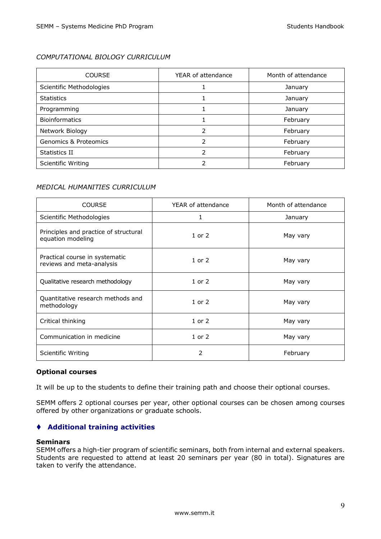# *COMPUTATIONAL BIOLOGY CURRICULUM*

| <b>COURSE</b>                    | YEAR of attendance | Month of attendance |
|----------------------------------|--------------------|---------------------|
| Scientific Methodologies         |                    | January             |
| <b>Statistics</b>                |                    | January             |
| Programming                      |                    | January             |
| <b>Bioinformatics</b>            |                    | February            |
| Network Biology                  | າ                  | February            |
| <b>Genomics &amp; Proteomics</b> |                    | February            |
| Statistics II                    |                    | February            |
| Scientific Writing               |                    | February            |

# *MEDICAL HUMANITIES CURRICULUM*

| <b>COURSE</b>                                               | YEAR of attendance | Month of attendance |
|-------------------------------------------------------------|--------------------|---------------------|
| Scientific Methodologies                                    | 1                  | January             |
| Principles and practice of structural<br>equation modeling  | $1$ or $2$         | May vary            |
| Practical course in systematic<br>reviews and meta-analysis | $1$ or $2$         | May vary            |
| Qualitative research methodology                            | $1$ or $2$         | May vary            |
| Quantitative research methods and<br>methodology            | $1$ or $2$         | May vary            |
| Critical thinking                                           | $1$ or $2$         | May vary            |
| Communication in medicine                                   | $1$ or $2$         | May vary            |
| <b>Scientific Writing</b>                                   | $\mathcal{P}$      | February            |

## **Optional courses**

It will be up to the students to define their training path and choose their optional courses.

SEMM offers 2 optional courses per year, other optional courses can be chosen among courses offered by other organizations or graduate schools.

# t **Additional training activities**

#### **Seminars**

SEMM offers a high-tier program of scientific seminars, both from internal and external speakers. Students are requested to attend at least 20 seminars per year (80 in total). Signatures are taken to verify the attendance.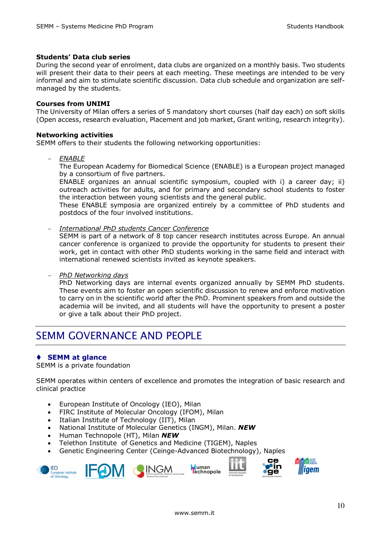## **Students' Data club series**

During the second year of enrolment, data clubs are organized on a monthly basis. Two students will present their data to their peers at each meeting. These meetings are intended to be very informal and aim to stimulate scientific discussion. Data club schedule and organization are selfmanaged by the students.

## **Courses from UNIMI**

The University of Milan offers a series of 5 mandatory short courses (half day each) on soft skills (Open access, research evaluation, Placement and job market, Grant writing, research integrity).

## **Networking activities**

SEMM offers to their students the following networking opportunities:

- *ENABLE*

The European Academy for Biomedical Science (ENABLE) is a European project managed by a consortium of five partners.

ENABLE organizes an annual scientific symposium, coupled with i) a career day; ii) outreach activities for adults, and for primary and secondary school students to foster the interaction between young scientists and the general public.

These ENABLE symposia are organized entirely by a committee of PhD students and postdocs of the four involved institutions.

- *International PhD students Cancer Conference*

SEMM is part of a network of 8 top cancer research institutes across Europe. An annual cancer conference is organized to provide the opportunity for students to present their work, get in contact with other PhD students working in the same field and interact with international renewed scientists invited as keynote speakers.

- *PhD Networking days* 

PhD Networking days are internal events organized annually by SEMM PhD students. These events aim to foster an open scientific discussion to renew and enforce motivation to carry on in the scientific world after the PhD. Prominent speakers from and outside the academia will be invited, and all students will have the opportunity to present a poster or give a talk about their PhD project.

# SEMM GOVERNANCE AND PEOPLE

# **↑ SEMM at glance**

SEMM is a private foundation

SEMM operates within centers of excellence and promotes the integration of basic research and clinical practice

- European Institute of Oncology (IEO), Milan
- FIRC Institute of Molecular Oncology (IFOM), Milan
- Italian Institute of Technology (IIT), Milan
- National Institute of Molecular Genetics (INGM), Milan. *NEW*
- Human Technopole (HT), Milan *NEW*
- Telethon Institute of Genetics and Medicine (TIGEM), Naples
- Genetic Engineering Center (Ceinge-Advanced Biotechnology), Naples







оë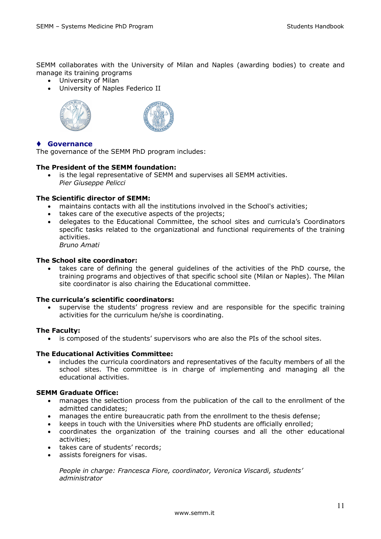SEMM collaborates with the University of Milan and Naples (awarding bodies) to create and manage its training programs

- University of Milan
- University of Naples Federico II





# t **Governance**

The governance of the SEMM PhD program includes:

# **The President of the SEMM foundation:**

• is the legal representative of SEMM and supervises all SEMM activities. *Pier Giuseppe Pelicci*

## **The Scientific director of SEMM:**

- maintains contacts with all the institutions involved in the School's activities;
- takes care of the executive aspects of the projects;
- delegates to the Educational Committee, the school sites and curricula's Coordinators specific tasks related to the organizational and functional requirements of the training activities. *Bruno Amati*

## **The School site coordinator:**

• takes care of defining the general guidelines of the activities of the PhD course, the training programs and objectives of that specific school site (Milan or Naples). The Milan site coordinator is also chairing the Educational committee.

## **The curricula's scientific coordinators:**

• supervise the students' progress review and are responsible for the specific training activities for the curriculum he/she is coordinating.

## **The Faculty:**

• is composed of the students' supervisors who are also the PIs of the school sites.

## **The Educational Activities Committee:**

• includes the curricula coordinators and representatives of the faculty members of all the school sites. The committee is in charge of implementing and managing all the educational activities.

## **SEMM Graduate Office:**

- manages the selection process from the publication of the call to the enrollment of the admitted candidates;
- manages the entire bureaucratic path from the enrollment to the thesis defense;
- keeps in touch with the Universities where PhD students are officially enrolled;
- coordinates the organization of the training courses and all the other educational activities;
- takes care of students' records;
- assists foreigners for visas.

*People in charge: Francesca Fiore, coordinator, Veronica Viscardi, students' administrator*